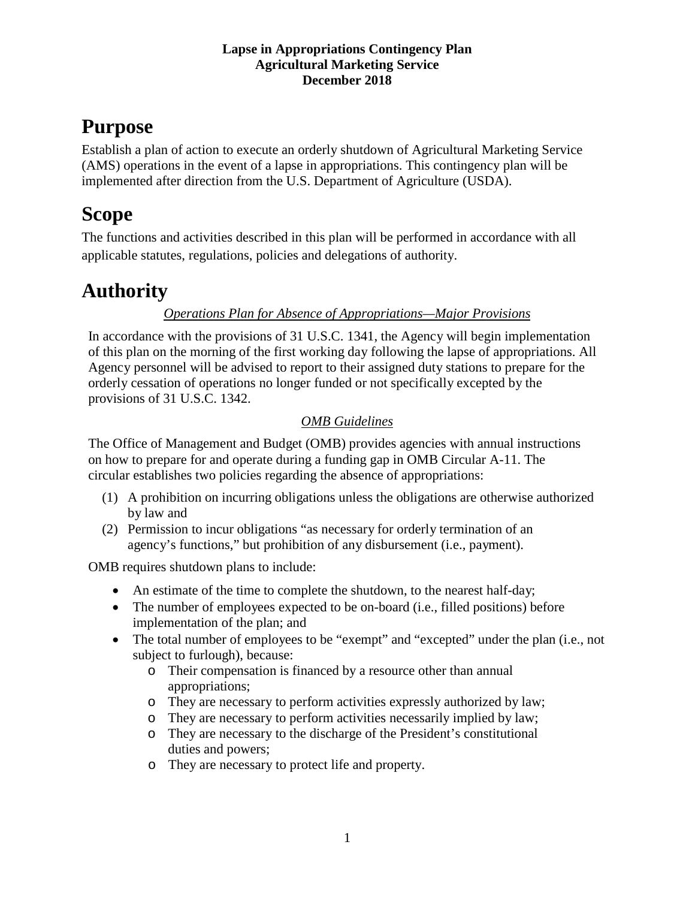# **Purpose**

Establish a plan of action to execute an orderly shutdown of Agricultural Marketing Service (AMS) operations in the event of a lapse in appropriations. This contingency plan will be implemented after direction from the U.S. Department of Agriculture (USDA).

# **Scope**

The functions and activities described in this plan will be performed in accordance with all applicable statutes, regulations, policies and delegations of authority.

# **Authority**

### *Operations Plan for Absence of Appropriations—Major Provisions*

In accordance with the provisions of 31 U.S.C. 1341, the Agency will begin implementation of this plan on the morning of the first working day following the lapse of appropriations. All Agency personnel will be advised to report to their assigned duty stations to prepare for the orderly cessation of operations no longer funded or not specifically excepted by the provisions of 31 U.S.C. 1342.

### *OMB Guidelines*

The Office of Management and Budget (OMB) provides agencies with annual instructions on how to prepare for and operate during a funding gap in OMB Circular A-11. The circular establishes two policies regarding the absence of appropriations:

- (1) A prohibition on incurring obligations unless the obligations are otherwise authorized by law and
- (2) Permission to incur obligations "as necessary for orderly termination of an agency's functions," but prohibition of any disbursement (i.e., payment).

OMB requires shutdown plans to include:

- An estimate of the time to complete the shutdown, to the nearest half-day;
- The number of employees expected to be on-board (i.e., filled positions) before implementation of the plan; and
- The total number of employees to be "exempt" and "excepted" under the plan (i.e., not subject to furlough), because:
	- o Their compensation is financed by a resource other than annual appropriations;
	- o They are necessary to perform activities expressly authorized by law;
	- o They are necessary to perform activities necessarily implied by law;
	- o They are necessary to the discharge of the President's constitutional duties and powers;
	- o They are necessary to protect life and property.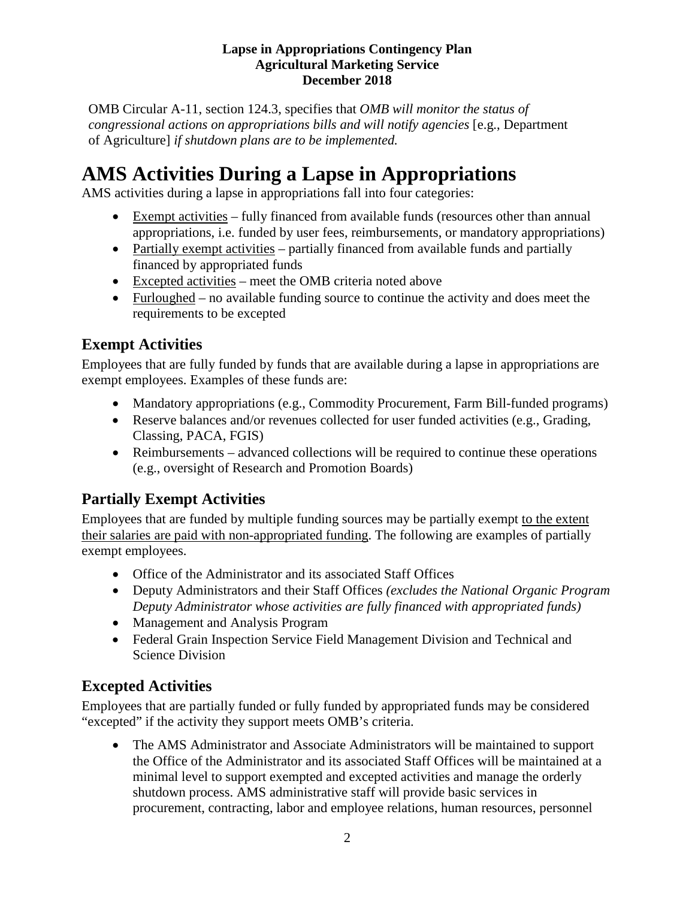OMB Circular A-11, section 124.3, specifies that *OMB will monitor the status of congressional actions on appropriations bills and will notify agencies* [e.g., Department] of Agriculture] *if shutdown plans are to be implemented.*

# **AMS Activities During a Lapse in Appropriations**

AMS activities during a lapse in appropriations fall into four categories:

- Exempt activities fully financed from available funds (resources other than annual appropriations, i.e. funded by user fees, reimbursements, or mandatory appropriations)
- Partially exempt activities partially financed from available funds and partially financed by appropriated funds
- Excepted activities meet the OMB criteria noted above
- Furloughed no available funding source to continue the activity and does meet the requirements to be excepted

## **Exempt Activities**

Employees that are fully funded by funds that are available during a lapse in appropriations are exempt employees. Examples of these funds are:

- Mandatory appropriations (e.g., Commodity Procurement, Farm Bill-funded programs)
- Reserve balances and/or revenues collected for user funded activities (e.g., Grading, Classing, PACA, FGIS)
- Reimbursements advanced collections will be required to continue these operations (e.g., oversight of Research and Promotion Boards)

## **Partially Exempt Activities**

Employees that are funded by multiple funding sources may be partially exempt to the extent their salaries are paid with non-appropriated funding. The following are examples of partially exempt employees.

- Office of the Administrator and its associated Staff Offices
- Deputy Administrators and their Staff Offices *(excludes the National Organic Program Deputy Administrator whose activities are fully financed with appropriated funds)*
- Management and Analysis Program
- Federal Grain Inspection Service Field Management Division and Technical and Science Division

## **Excepted Activities**

Employees that are partially funded or fully funded by appropriated funds may be considered "excepted" if the activity they support meets OMB's criteria.

• The AMS Administrator and Associate Administrators will be maintained to support the Office of the Administrator and its associated Staff Offices will be maintained at a minimal level to support exempted and excepted activities and manage the orderly shutdown process. AMS administrative staff will provide basic services in procurement, contracting, labor and employee relations, human resources, personnel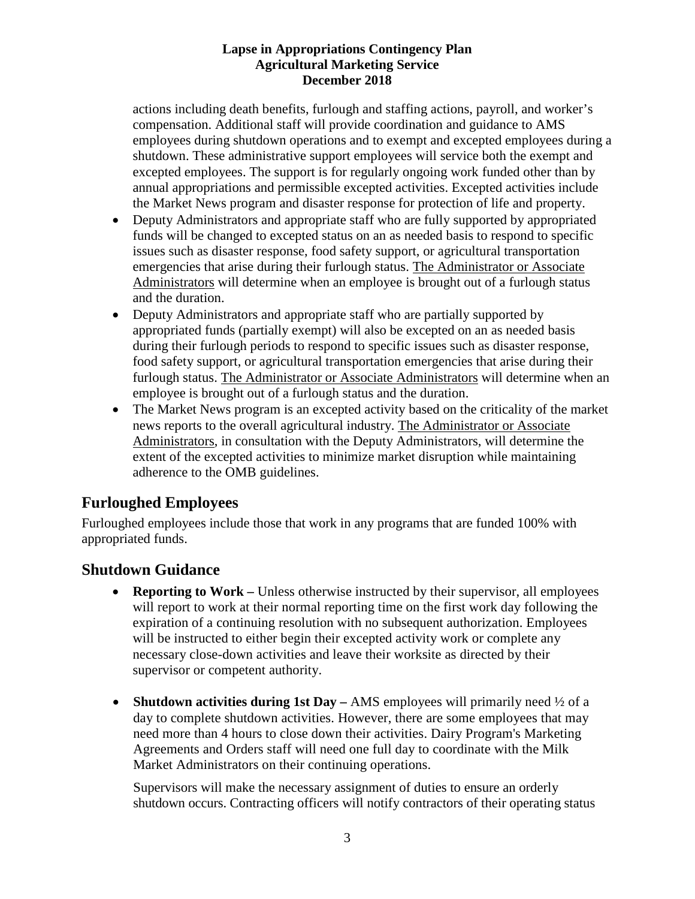actions including death benefits, furlough and staffing actions, payroll, and worker's compensation. Additional staff will provide coordination and guidance to AMS employees during shutdown operations and to exempt and excepted employees during a shutdown. These administrative support employees will service both the exempt and excepted employees. The support is for regularly ongoing work funded other than by annual appropriations and permissible excepted activities. Excepted activities include the Market News program and disaster response for protection of life and property.

- Deputy Administrators and appropriate staff who are fully supported by appropriated funds will be changed to excepted status on an as needed basis to respond to specific issues such as disaster response, food safety support, or agricultural transportation emergencies that arise during their furlough status. The Administrator or Associate Administrators will determine when an employee is brought out of a furlough status and the duration.
- Deputy Administrators and appropriate staff who are partially supported by appropriated funds (partially exempt) will also be excepted on an as needed basis during their furlough periods to respond to specific issues such as disaster response, food safety support, or agricultural transportation emergencies that arise during their furlough status. The Administrator or Associate Administrators will determine when an employee is brought out of a furlough status and the duration.
- The Market News program is an excepted activity based on the criticality of the market news reports to the overall agricultural industry. The Administrator or Associate Administrators, in consultation with the Deputy Administrators, will determine the extent of the excepted activities to minimize market disruption while maintaining adherence to the OMB guidelines.

### **Furloughed Employees**

Furloughed employees include those that work in any programs that are funded 100% with appropriated funds.

### **Shutdown Guidance**

- **Reporting to Work** Unless otherwise instructed by their supervisor, all employees will report to work at their normal reporting time on the first work day following the expiration of a continuing resolution with no subsequent authorization. Employees will be instructed to either begin their excepted activity work or complete any necessary close-down activities and leave their worksite as directed by their supervisor or competent authority.
- **Shutdown activities during 1st Day** AMS employees will primarily need  $\frac{1}{2}$  of a day to complete shutdown activities. However, there are some employees that may need more than 4 hours to close down their activities. Dairy Program's Marketing Agreements and Orders staff will need one full day to coordinate with the Milk Market Administrators on their continuing operations.

Supervisors will make the necessary assignment of duties to ensure an orderly shutdown occurs. Contracting officers will notify contractors of their operating status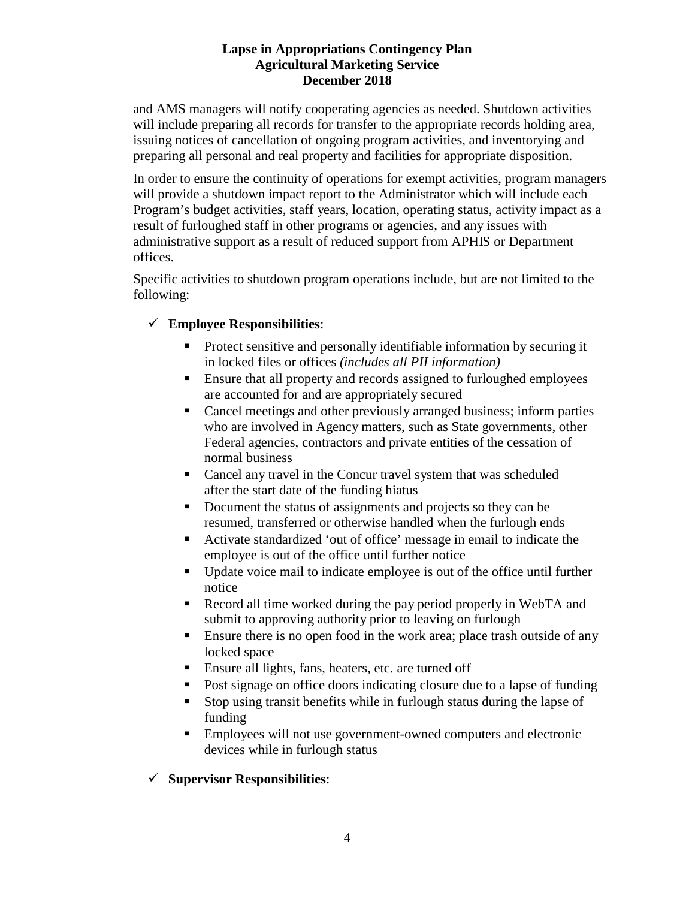and AMS managers will notify cooperating agencies as needed. Shutdown activities will include preparing all records for transfer to the appropriate records holding area, issuing notices of cancellation of ongoing program activities, and inventorying and preparing all personal and real property and facilities for appropriate disposition.

In order to ensure the continuity of operations for exempt activities, program managers will provide a shutdown impact report to the Administrator which will include each Program's budget activities, staff years, location, operating status, activity impact as a result of furloughed staff in other programs or agencies, and any issues with administrative support as a result of reduced support from APHIS or Department offices.

Specific activities to shutdown program operations include, but are not limited to the following:

### **Employee Responsibilities**:

- Protect sensitive and personally identifiable information by securing it in locked files or offices *(includes all PII information)*
- Ensure that all property and records assigned to furloughed employees are accounted for and are appropriately secured
- Cancel meetings and other previously arranged business; inform parties who are involved in Agency matters, such as State governments, other Federal agencies, contractors and private entities of the cessation of normal business
- Cancel any travel in the Concur travel system that was scheduled after the start date of the funding hiatus
- Document the status of assignments and projects so they can be resumed, transferred or otherwise handled when the furlough ends
- Activate standardized 'out of office' message in email to indicate the employee is out of the office until further notice
- Update voice mail to indicate employee is out of the office until further notice
- Record all time worked during the pay period properly in WebTA and submit to approving authority prior to leaving on furlough
- **Ensure there is no open food in the work area; place trash outside of any** locked space
- **Ensure all lights, fans, heaters, etc. are turned off**
- Post signage on office doors indicating closure due to a lapse of funding
- Stop using transit benefits while in furlough status during the lapse of funding
- Employees will not use government-owned computers and electronic devices while in furlough status

### **Supervisor Responsibilities**: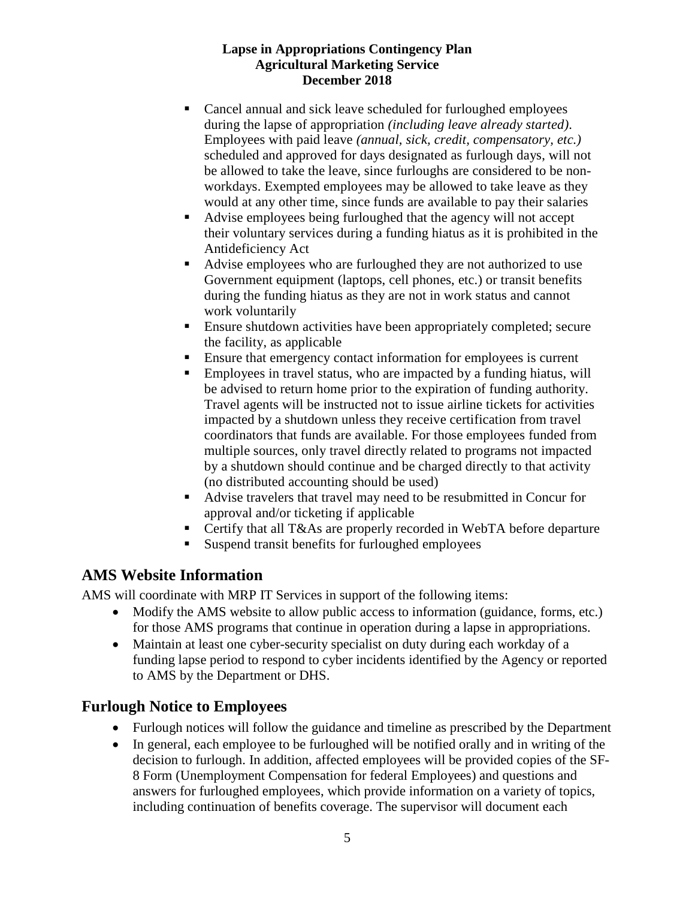- Cancel annual and sick leave scheduled for furloughed employees during the lapse of appropriation *(including leave already started)*. Employees with paid leave *(annual, sick, credit, compensatory, etc.)* scheduled and approved for days designated as furlough days, will not be allowed to take the leave, since furloughs are considered to be nonworkdays. Exempted employees may be allowed to take leave as they would at any other time, since funds are available to pay their salaries
- Advise employees being furloughed that the agency will not accept their voluntary services during a funding hiatus as it is prohibited in the Antideficiency Act
- Advise employees who are furloughed they are not authorized to use Government equipment (laptops, cell phones, etc.) or transit benefits during the funding hiatus as they are not in work status and cannot work voluntarily
- **Ensure shutdown activities have been appropriately completed; secure** the facility, as applicable
- Ensure that emergency contact information for employees is current
- Employees in travel status, who are impacted by a funding hiatus, will be advised to return home prior to the expiration of funding authority. Travel agents will be instructed not to issue airline tickets for activities impacted by a shutdown unless they receive certification from travel coordinators that funds are available. For those employees funded from multiple sources, only travel directly related to programs not impacted by a shutdown should continue and be charged directly to that activity (no distributed accounting should be used)
- Advise travelers that travel may need to be resubmitted in Concur for approval and/or ticketing if applicable
- Certify that all T&As are properly recorded in WebTA before departure
- Suspend transit benefits for furloughed employees

## **AMS Website Information**

AMS will coordinate with MRP IT Services in support of the following items:

- Modify the AMS website to allow public access to information (guidance, forms, etc.) for those AMS programs that continue in operation during a lapse in appropriations.
- Maintain at least one cyber-security specialist on duty during each workday of a funding lapse period to respond to cyber incidents identified by the Agency or reported to AMS by the Department or DHS.

### **Furlough Notice to Employees**

- Furlough notices will follow the guidance and timeline as prescribed by the Department
- In general, each employee to be furloughed will be notified orally and in writing of the decision to furlough. In addition, affected employees will be provided copies of the SF-8 Form (Unemployment Compensation for federal Employees) and questions and answers for furloughed employees, which provide information on a variety of topics, including continuation of benefits coverage. The supervisor will document each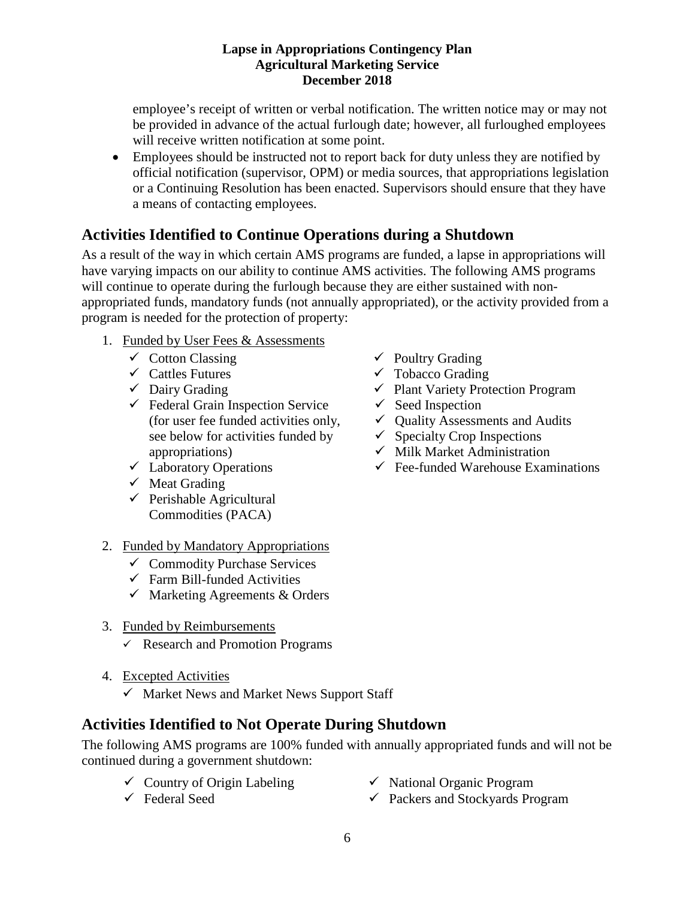employee's receipt of written or verbal notification. The written notice may or may not be provided in advance of the actual furlough date; however, all furloughed employees will receive written notification at some point.

• Employees should be instructed not to report back for duty unless they are notified by official notification (supervisor, OPM) or media sources, that appropriations legislation or a Continuing Resolution has been enacted. Supervisors should ensure that they have a means of contacting employees.

## **Activities Identified to Continue Operations during a Shutdown**

As a result of the way in which certain AMS programs are funded, a lapse in appropriations will have varying impacts on our ability to continue AMS activities. The following AMS programs will continue to operate during the furlough because they are either sustained with nonappropriated funds, mandatory funds (not annually appropriated), or the activity provided from a program is needed for the protection of property:

- 1. Funded by User Fees & Assessments
	- $\checkmark$  Cotton Classing
	- $\checkmark$  Cattles Futures
	- $\checkmark$  Dairy Grading
	- $\checkmark$  Federal Grain Inspection Service (for user fee funded activities only, see below for activities funded by appropriations)
	- $\checkmark$  Laboratory Operations
	- $\checkmark$  Meat Grading
	- $\checkmark$  Perishable Agricultural Commodities (PACA)
- 2. Funded by Mandatory Appropriations
	- $\checkmark$  Commodity Purchase Services
	- $\checkmark$  Farm Bill-funded Activities
	- $\checkmark$  Marketing Agreements & Orders
- 3. Funded by Reimbursements
	- $\checkmark$  Research and Promotion Programs
- 4. Excepted Activities
	- $\checkmark$  Market News and Market News Support Staff

### **Activities Identified to Not Operate During Shutdown**

The following AMS programs are 100% funded with annually appropriated funds and will not be continued during a government shutdown:

- $\checkmark$  Country of Origin Labeling
- Federal Seed
- $\checkmark$  Poultry Grading
- $\checkmark$  Tobacco Grading
- $\checkmark$  Plant Variety Protection Program
- $\checkmark$  Seed Inspection
- $\checkmark$  Quality Assessments and Audits
- $\checkmark$  Specialty Crop Inspections
- $\checkmark$  Milk Market Administration
- $\checkmark$  Fee-funded Warehouse Examinations

- $\checkmark$  National Organic Program
- $\checkmark$  Packers and Stockyards Program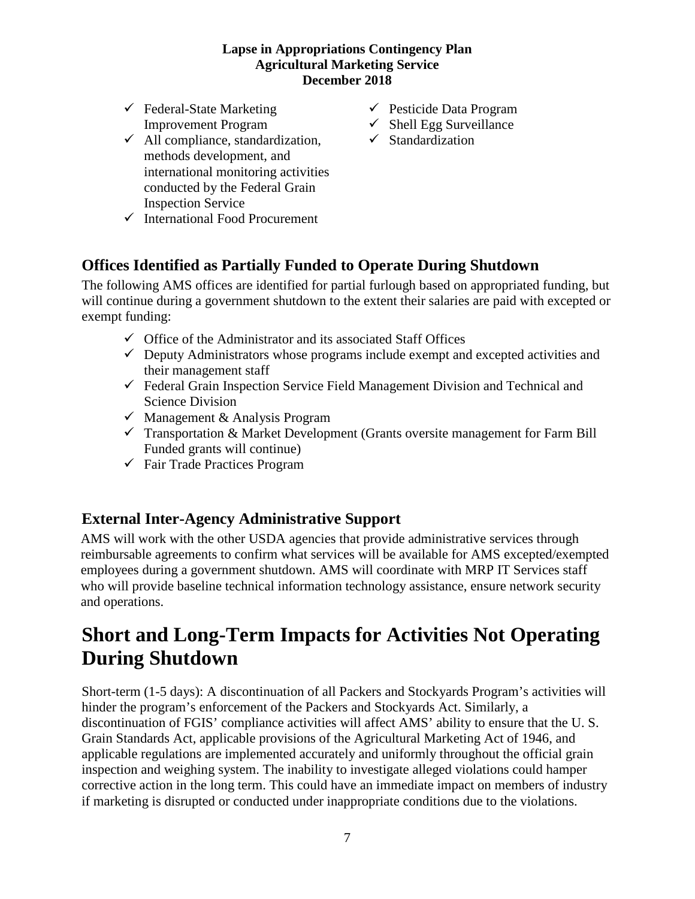- $\checkmark$  Federal-State Marketing  $\checkmark$  Pesticide Data Program
- $\checkmark$  All compliance, standardization,  $\checkmark$  Standardization methods development, and international monitoring activities conducted by the Federal Grain Inspection Service
- $\checkmark$  International Food Procurement
- 
- Improvement Program  $\checkmark$  Shell Egg Surveillance
	-

### **Offices Identified as Partially Funded to Operate During Shutdown**

The following AMS offices are identified for partial furlough based on appropriated funding, but will continue during a government shutdown to the extent their salaries are paid with excepted or exempt funding:

- $\checkmark$  Office of the Administrator and its associated Staff Offices
- $\checkmark$  Deputy Administrators whose programs include exempt and excepted activities and their management staff
- $\checkmark$  Federal Grain Inspection Service Field Management Division and Technical and Science Division
- $\checkmark$  Management & Analysis Program
- $\checkmark$  Transportation & Market Development (Grants oversite management for Farm Bill) Funded grants will continue)
- $\checkmark$  Fair Trade Practices Program

### **External Inter-Agency Administrative Support**

AMS will work with the other USDA agencies that provide administrative services through reimbursable agreements to confirm what services will be available for AMS excepted/exempted employees during a government shutdown. AMS will coordinate with MRP IT Services staff who will provide baseline technical information technology assistance, ensure network security and operations.

# **Short and Long-Term Impacts for Activities Not Operating During Shutdown**

Short-term (1-5 days): A discontinuation of all Packers and Stockyards Program's activities will hinder the program's enforcement of the Packers and Stockyards Act. Similarly, a discontinuation of FGIS' compliance activities will affect AMS' ability to ensure that the U. S. Grain Standards Act, applicable provisions of the Agricultural Marketing Act of 1946, and applicable regulations are implemented accurately and uniformly throughout the official grain inspection and weighing system. The inability to investigate alleged violations could hamper corrective action in the long term. This could have an immediate impact on members of industry if marketing is disrupted or conducted under inappropriate conditions due to the violations.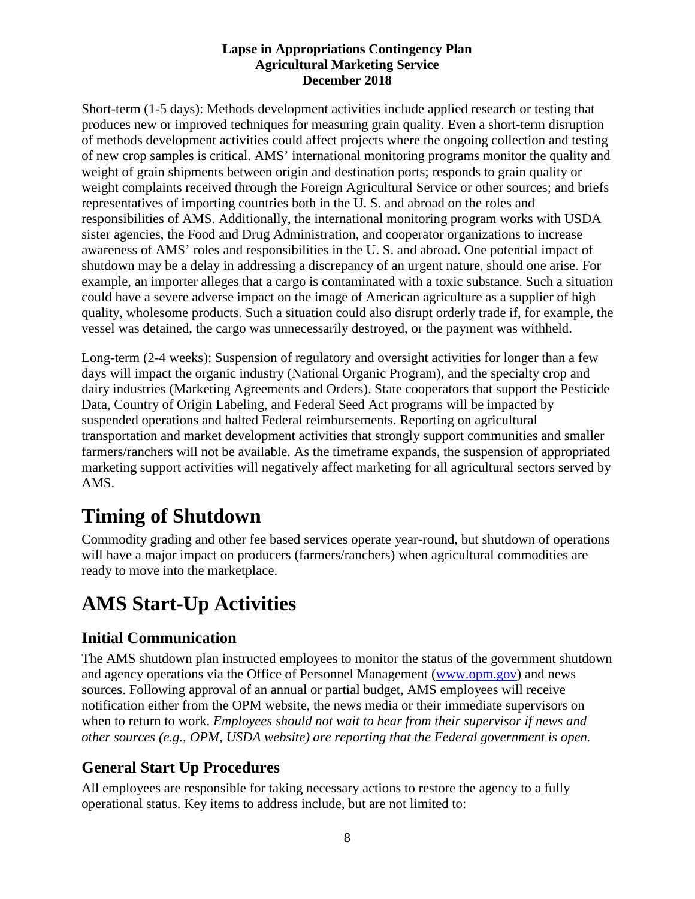Short-term (1-5 days): Methods development activities include applied research or testing that produces new or improved techniques for measuring grain quality. Even a short-term disruption of methods development activities could affect projects where the ongoing collection and testing of new crop samples is critical. AMS' international monitoring programs monitor the quality and weight of grain shipments between origin and destination ports; responds to grain quality or weight complaints received through the Foreign Agricultural Service or other sources; and briefs representatives of importing countries both in the U. S. and abroad on the roles and responsibilities of AMS. Additionally, the international monitoring program works with USDA sister agencies, the Food and Drug Administration, and cooperator organizations to increase awareness of AMS' roles and responsibilities in the U. S. and abroad. One potential impact of shutdown may be a delay in addressing a discrepancy of an urgent nature, should one arise. For example, an importer alleges that a cargo is contaminated with a toxic substance. Such a situation could have a severe adverse impact on the image of American agriculture as a supplier of high quality, wholesome products. Such a situation could also disrupt orderly trade if, for example, the vessel was detained, the cargo was unnecessarily destroyed, or the payment was withheld.

Long-term (2-4 weeks): Suspension of regulatory and oversight activities for longer than a few days will impact the organic industry (National Organic Program), and the specialty crop and dairy industries (Marketing Agreements and Orders). State cooperators that support the Pesticide Data, Country of Origin Labeling, and Federal Seed Act programs will be impacted by suspended operations and halted Federal reimbursements. Reporting on agricultural transportation and market development activities that strongly support communities and smaller farmers/ranchers will not be available. As the timeframe expands, the suspension of appropriated marketing support activities will negatively affect marketing for all agricultural sectors served by AMS.

# **Timing of Shutdown**

Commodity grading and other fee based services operate year-round, but shutdown of operations will have a major impact on producers (farmers/ranchers) when agricultural commodities are ready to move into the marketplace.

# **AMS Start-Up Activities**

## **Initial Communication**

The AMS shutdown plan instructed employees to monitor the status of the government shutdown and agency operations via the Office of Personnel Management [\(www.opm.gov\)](http://www.opm.gov/) and news sources. Following approval of an annual or partial budget, AMS employees will receive notification either from the OPM website, the news media or their immediate supervisors on when to return to work. *Employees should not wait to hear from their supervisor if news and other sources (e.g., OPM, USDA website) are reporting that the Federal government is open.* 

## **General Start Up Procedures**

All employees are responsible for taking necessary actions to restore the agency to a fully operational status. Key items to address include, but are not limited to: